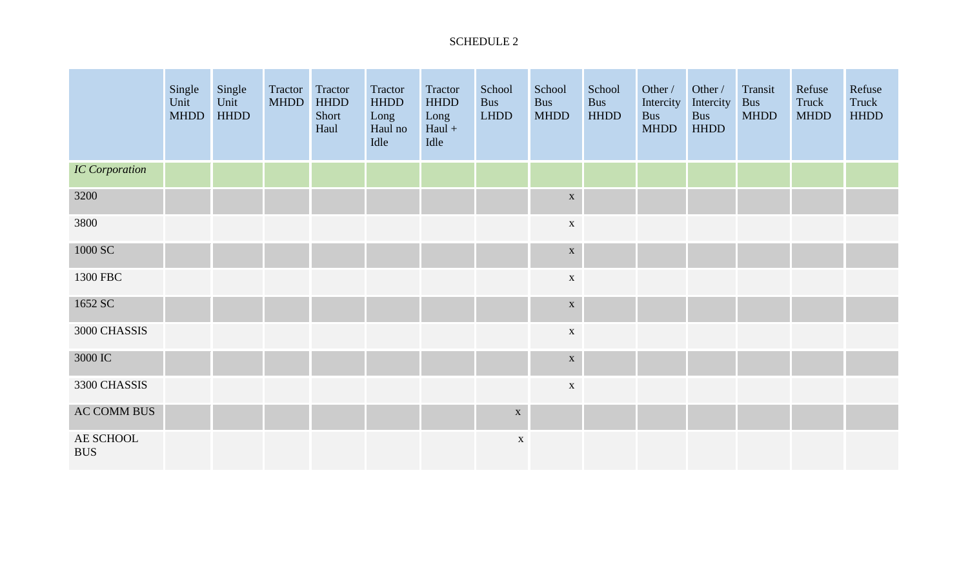## SCHEDULE 2

|                         | Single<br>Unit<br><b>MHDD</b> | Single<br>Unit<br><b>HHDD</b> | Tractor Tractor<br><b>MHDD</b> | <b>HHDD</b><br>Short<br>Haul | Tractor<br><b>HHDD</b><br>Long<br>Haul no<br>Idle | Tractor<br><b>HHDD</b><br>Long<br>$Haul +$<br>Idle | School<br><b>Bus</b><br><b>LHDD</b> | School<br><b>Bus</b><br><b>MHDD</b> | School<br>Bus<br><b>HHDD</b> | Other /<br>Intercity<br><b>Bus</b><br><b>MHDD</b> | Other /<br>Intercity<br><b>Bus</b><br><b>HHDD</b> | Transit<br><b>Bus</b><br><b>MHDD</b> | Refuse<br>Truck<br><b>MHDD</b> | Refuse<br>Truck<br><b>HHDD</b> |
|-------------------------|-------------------------------|-------------------------------|--------------------------------|------------------------------|---------------------------------------------------|----------------------------------------------------|-------------------------------------|-------------------------------------|------------------------------|---------------------------------------------------|---------------------------------------------------|--------------------------------------|--------------------------------|--------------------------------|
| <b>IC</b> Corporation   |                               |                               |                                |                              |                                                   |                                                    |                                     |                                     |                              |                                                   |                                                   |                                      |                                |                                |
| 3200                    |                               |                               |                                |                              |                                                   |                                                    |                                     | $\mathbf X$                         |                              |                                                   |                                                   |                                      |                                |                                |
| 3800                    |                               |                               |                                |                              |                                                   |                                                    |                                     | $\mathbf X$                         |                              |                                                   |                                                   |                                      |                                |                                |
| 1000 SC                 |                               |                               |                                |                              |                                                   |                                                    |                                     | $\mathbf X$                         |                              |                                                   |                                                   |                                      |                                |                                |
| 1300 FBC                |                               |                               |                                |                              |                                                   |                                                    |                                     | $\mathbf X$                         |                              |                                                   |                                                   |                                      |                                |                                |
| 1652 SC                 |                               |                               |                                |                              |                                                   |                                                    |                                     | $\mathbf X$                         |                              |                                                   |                                                   |                                      |                                |                                |
| 3000 CHASSIS            |                               |                               |                                |                              |                                                   |                                                    |                                     | $\mathbf X$                         |                              |                                                   |                                                   |                                      |                                |                                |
| 3000 IC                 |                               |                               |                                |                              |                                                   |                                                    |                                     | $\mathbf X$                         |                              |                                                   |                                                   |                                      |                                |                                |
| 3300 CHASSIS            |                               |                               |                                |                              |                                                   |                                                    |                                     | $\mathbf X$                         |                              |                                                   |                                                   |                                      |                                |                                |
| <b>AC COMM BUS</b>      |                               |                               |                                |                              |                                                   |                                                    | $\mathbf X$                         |                                     |                              |                                                   |                                                   |                                      |                                |                                |
| AE SCHOOL<br><b>BUS</b> |                               |                               |                                |                              |                                                   |                                                    | $\mathbf X$                         |                                     |                              |                                                   |                                                   |                                      |                                |                                |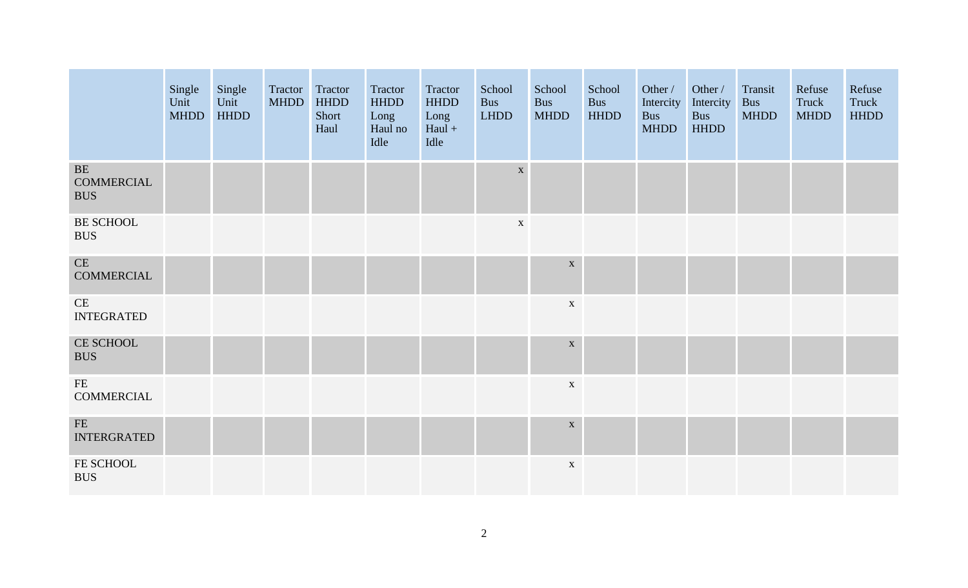|                                                  | Single<br>Unit<br><b>MHDD</b> | Single<br>Unit<br><b>HHDD</b> | Tractor Tractor<br><b>MHDD</b> | <b>HHDD</b><br>Short<br>Haul | Tractor<br><b>HHDD</b><br>Long<br>Haul no<br>Idle | Tractor<br><b>HHDD</b><br>Long<br>$Haul +$<br>Idle | School<br><b>Bus</b><br><b>LHDD</b> | School<br><b>Bus</b><br><b>MHDD</b> | School<br>Bus<br><b>HHDD</b> | Other /<br>Intercity<br><b>Bus</b><br><b>MHDD</b> | Other /<br>Intercity<br><b>Bus</b><br><b>HHDD</b> | Transit<br>Bus<br><b>MHDD</b> | Refuse<br>Truck<br><b>MHDD</b> | Refuse<br>Truck<br><b>HHDD</b> |
|--------------------------------------------------|-------------------------------|-------------------------------|--------------------------------|------------------------------|---------------------------------------------------|----------------------------------------------------|-------------------------------------|-------------------------------------|------------------------------|---------------------------------------------------|---------------------------------------------------|-------------------------------|--------------------------------|--------------------------------|
| $\rm BE$<br>COMMERCIAL<br><b>BUS</b>             |                               |                               |                                |                              |                                                   |                                                    | $\mathbf X$                         |                                     |                              |                                                   |                                                   |                               |                                |                                |
| BE SCHOOL<br><b>BUS</b>                          |                               |                               |                                |                              |                                                   |                                                    | $\mathbf{X}$                        |                                     |                              |                                                   |                                                   |                               |                                |                                |
| CE<br><b>COMMERCIAL</b>                          |                               |                               |                                |                              |                                                   |                                                    |                                     | $\mathbf X$                         |                              |                                                   |                                                   |                               |                                |                                |
| CE<br><b>INTEGRATED</b>                          |                               |                               |                                |                              |                                                   |                                                    |                                     | $\mathbf{X}$                        |                              |                                                   |                                                   |                               |                                |                                |
| CE SCHOOL<br><b>BUS</b>                          |                               |                               |                                |                              |                                                   |                                                    |                                     | $\mathbf X$                         |                              |                                                   |                                                   |                               |                                |                                |
| $\rm FE$<br><b>COMMERCIAL</b>                    |                               |                               |                                |                              |                                                   |                                                    |                                     | $\mathbf X$                         |                              |                                                   |                                                   |                               |                                |                                |
| $\ensuremath{\mathsf{FE}}$<br><b>INTERGRATED</b> |                               |                               |                                |                              |                                                   |                                                    |                                     | $\mathbf X$                         |                              |                                                   |                                                   |                               |                                |                                |
| FE SCHOOL<br><b>BUS</b>                          |                               |                               |                                |                              |                                                   |                                                    |                                     | $\mathbf X$                         |                              |                                                   |                                                   |                               |                                |                                |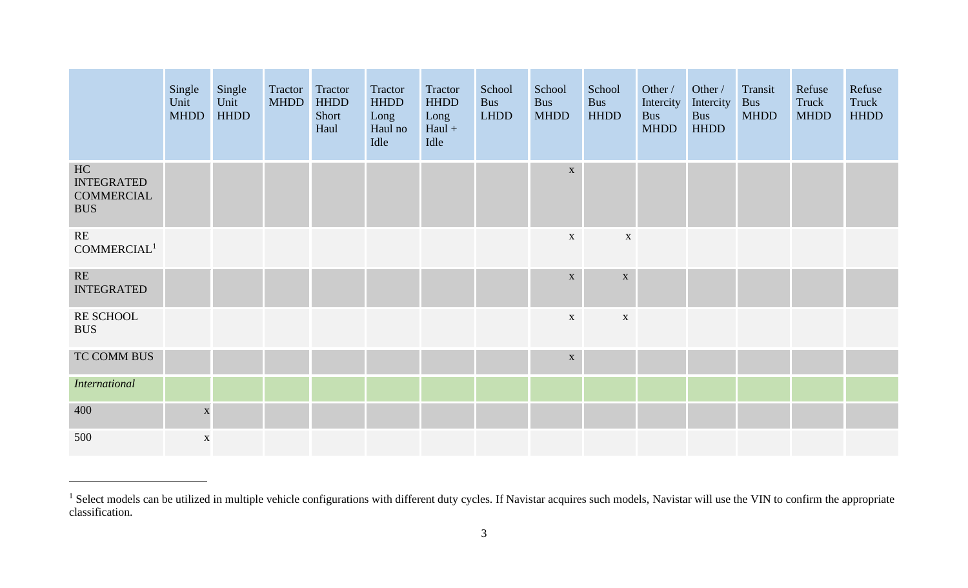|                                                            | Single<br>Unit<br><b>MHDD</b> | Single<br>Unit<br><b>HHDD</b> | Tractor<br><b>MHDD</b> | Tractor<br><b>HHDD</b><br>Short<br>Haul | Tractor<br><b>HHDD</b><br>Long<br>Haul no<br>Idle | Tractor<br><b>HHDD</b><br>Long<br>$Haul +$<br>Idle | School<br><b>Bus</b><br><b>LHDD</b> | School<br><b>Bus</b><br><b>MHDD</b> | School<br><b>Bus</b><br><b>HHDD</b> | Other /<br>Intercity<br><b>Bus</b><br><b>MHDD</b> | Other /<br>Intercity<br><b>Bus</b><br><b>HHDD</b> | Transit<br><b>Bus</b><br><b>MHDD</b> | Refuse<br>Truck<br><b>MHDD</b> | Refuse<br>Truck<br><b>HHDD</b> |
|------------------------------------------------------------|-------------------------------|-------------------------------|------------------------|-----------------------------------------|---------------------------------------------------|----------------------------------------------------|-------------------------------------|-------------------------------------|-------------------------------------|---------------------------------------------------|---------------------------------------------------|--------------------------------------|--------------------------------|--------------------------------|
| HC<br><b>INTEGRATED</b><br><b>COMMERCIAL</b><br><b>BUS</b> |                               |                               |                        |                                         |                                                   |                                                    |                                     | $\mathbf{X}$                        |                                     |                                                   |                                                   |                                      |                                |                                |
| RE<br>COMMERCIAL <sup>1</sup>                              |                               |                               |                        |                                         |                                                   |                                                    |                                     | $\mathbf{X}$                        | $\mathbf{X}$                        |                                                   |                                                   |                                      |                                |                                |
| $\mathbf{RE}$<br><b>INTEGRATED</b>                         |                               |                               |                        |                                         |                                                   |                                                    |                                     | $\mathbf X$                         | $\mathbf X$                         |                                                   |                                                   |                                      |                                |                                |
| RE SCHOOL<br><b>BUS</b>                                    |                               |                               |                        |                                         |                                                   |                                                    |                                     | $\mathbf{X}$                        | $\mathbf X$                         |                                                   |                                                   |                                      |                                |                                |
| TC COMM BUS                                                |                               |                               |                        |                                         |                                                   |                                                    |                                     | $\mathbf X$                         |                                     |                                                   |                                                   |                                      |                                |                                |
| <b>International</b>                                       |                               |                               |                        |                                         |                                                   |                                                    |                                     |                                     |                                     |                                                   |                                                   |                                      |                                |                                |
| 400                                                        | $\mathbf X$                   |                               |                        |                                         |                                                   |                                                    |                                     |                                     |                                     |                                                   |                                                   |                                      |                                |                                |
| 500                                                        | $\mathbf X$                   |                               |                        |                                         |                                                   |                                                    |                                     |                                     |                                     |                                                   |                                                   |                                      |                                |                                |

<sup>&</sup>lt;sup>1</sup> Select models can be utilized in multiple vehicle configurations with different duty cycles. If Navistar acquires such models, Navistar will use the VIN to confirm the appropriate classification.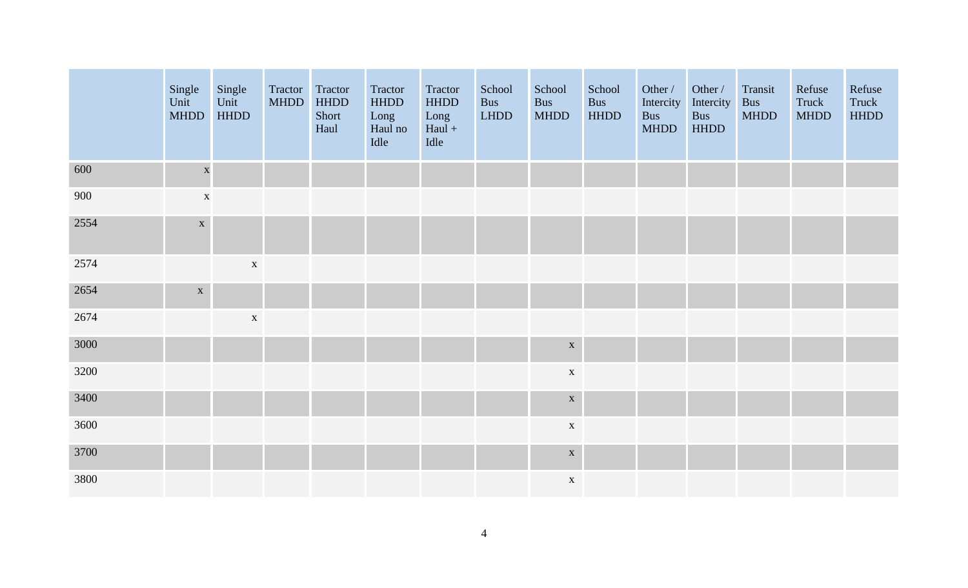|      | Single<br>Unit<br><b>MHDD</b> | Single<br>Unit<br><b>HHDD</b> | Tractor Tractor<br><b>MHDD</b> | <b>HHDD</b><br>Short<br>Haul | Tractor<br><b>HHDD</b><br>Long<br>Haul no<br>Idle | Tractor<br><b>HHDD</b><br>Long<br>$Haul +$<br>Idle | School<br><b>Bus</b><br><b>LHDD</b> | School<br>Bus<br><b>MHDD</b> | School<br><b>Bus</b><br><b>HHDD</b> | Other /<br>Intercity<br><b>Bus</b><br><b>MHDD</b> | Other /<br>Intercity<br><b>Bus</b><br><b>HHDD</b> | Transit<br><b>Bus</b><br><b>MHDD</b> | Refuse<br>Truck<br><b>MHDD</b> | Refuse<br>Truck<br><b>HHDD</b> |
|------|-------------------------------|-------------------------------|--------------------------------|------------------------------|---------------------------------------------------|----------------------------------------------------|-------------------------------------|------------------------------|-------------------------------------|---------------------------------------------------|---------------------------------------------------|--------------------------------------|--------------------------------|--------------------------------|
| 600  | $\mathbf X$                   |                               |                                |                              |                                                   |                                                    |                                     |                              |                                     |                                                   |                                                   |                                      |                                |                                |
| 900  | $\mathbf X$                   |                               |                                |                              |                                                   |                                                    |                                     |                              |                                     |                                                   |                                                   |                                      |                                |                                |
| 2554 | $\mathbf X$                   |                               |                                |                              |                                                   |                                                    |                                     |                              |                                     |                                                   |                                                   |                                      |                                |                                |
| 2574 |                               | $\mathbf X$                   |                                |                              |                                                   |                                                    |                                     |                              |                                     |                                                   |                                                   |                                      |                                |                                |
| 2654 | $\mathbf X$                   |                               |                                |                              |                                                   |                                                    |                                     |                              |                                     |                                                   |                                                   |                                      |                                |                                |
| 2674 |                               | $\mathbf X$                   |                                |                              |                                                   |                                                    |                                     |                              |                                     |                                                   |                                                   |                                      |                                |                                |
| 3000 |                               |                               |                                |                              |                                                   |                                                    |                                     | $\mathbf X$                  |                                     |                                                   |                                                   |                                      |                                |                                |
| 3200 |                               |                               |                                |                              |                                                   |                                                    |                                     | $\mathbf X$                  |                                     |                                                   |                                                   |                                      |                                |                                |
| 3400 |                               |                               |                                |                              |                                                   |                                                    |                                     | $\mathbf X$                  |                                     |                                                   |                                                   |                                      |                                |                                |
| 3600 |                               |                               |                                |                              |                                                   |                                                    |                                     | $\mathbf X$                  |                                     |                                                   |                                                   |                                      |                                |                                |
| 3700 |                               |                               |                                |                              |                                                   |                                                    |                                     | $\mathbf X$                  |                                     |                                                   |                                                   |                                      |                                |                                |
| 3800 |                               |                               |                                |                              |                                                   |                                                    |                                     | $\mathbf X$                  |                                     |                                                   |                                                   |                                      |                                |                                |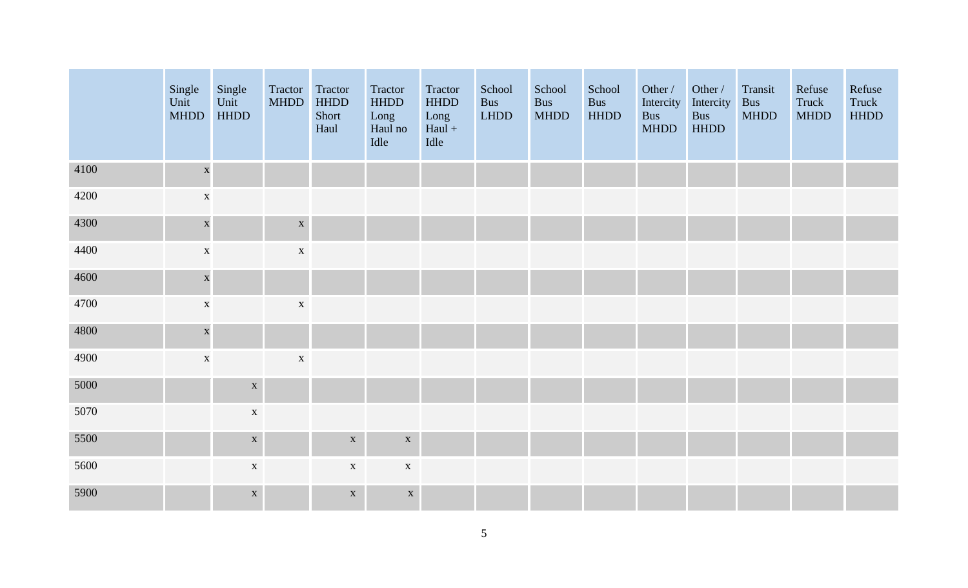|      | Single<br>Unit<br><b>MHDD</b> | Single<br>Unit<br><b>HHDD</b> | Tractor<br><b>MHDD</b> | Tractor<br><b>HHDD</b><br>Short<br>Haul | Tractor<br><b>HHDD</b><br>Long<br>Haul no<br>Idle | Tractor<br><b>HHDD</b><br>Long<br>$Haul +$<br>Idle | School<br><b>Bus</b><br>LHDD | School<br><b>Bus</b><br><b>MHDD</b> | School<br><b>Bus</b><br><b>HHDD</b> | Other /<br>Intercity<br><b>Bus</b><br><b>MHDD</b> | Other /<br>Intercity<br>Bus<br><b>HHDD</b> | Transit<br><b>Bus</b><br><b>MHDD</b> | Refuse<br>Truck<br><b>MHDD</b> | Refuse<br>Truck<br><b>HHDD</b> |
|------|-------------------------------|-------------------------------|------------------------|-----------------------------------------|---------------------------------------------------|----------------------------------------------------|------------------------------|-------------------------------------|-------------------------------------|---------------------------------------------------|--------------------------------------------|--------------------------------------|--------------------------------|--------------------------------|
| 4100 | $\mathbf X$                   |                               |                        |                                         |                                                   |                                                    |                              |                                     |                                     |                                                   |                                            |                                      |                                |                                |
| 4200 | $\mathbf X$                   |                               |                        |                                         |                                                   |                                                    |                              |                                     |                                     |                                                   |                                            |                                      |                                |                                |
| 4300 | $\mathbf{x}$                  |                               | $\mathbf X$            |                                         |                                                   |                                                    |                              |                                     |                                     |                                                   |                                            |                                      |                                |                                |
| 4400 | $\mathbf X$                   |                               | $\mathbf X$            |                                         |                                                   |                                                    |                              |                                     |                                     |                                                   |                                            |                                      |                                |                                |
| 4600 | $\mathbf X$                   |                               |                        |                                         |                                                   |                                                    |                              |                                     |                                     |                                                   |                                            |                                      |                                |                                |
| 4700 | $\mathbf X$                   |                               | $\mathbf X$            |                                         |                                                   |                                                    |                              |                                     |                                     |                                                   |                                            |                                      |                                |                                |
| 4800 | $\mathbf{x}$                  |                               |                        |                                         |                                                   |                                                    |                              |                                     |                                     |                                                   |                                            |                                      |                                |                                |
| 4900 | $\mathbf X$                   |                               | $\mathbf X$            |                                         |                                                   |                                                    |                              |                                     |                                     |                                                   |                                            |                                      |                                |                                |
| 5000 |                               | $\mathbf X$                   |                        |                                         |                                                   |                                                    |                              |                                     |                                     |                                                   |                                            |                                      |                                |                                |
| 5070 |                               | $\mathbf X$                   |                        |                                         |                                                   |                                                    |                              |                                     |                                     |                                                   |                                            |                                      |                                |                                |
| 5500 |                               | $\mathbf X$                   |                        | $\mathbf X$                             | $\mathbf X$                                       |                                                    |                              |                                     |                                     |                                                   |                                            |                                      |                                |                                |
| 5600 |                               | $\mathbf X$                   |                        | $\mathbf X$                             | $\mathbf X$                                       |                                                    |                              |                                     |                                     |                                                   |                                            |                                      |                                |                                |
| 5900 |                               | $\mathbf X$                   |                        | $\mathbf X$                             | $\mathbf X$                                       |                                                    |                              |                                     |                                     |                                                   |                                            |                                      |                                |                                |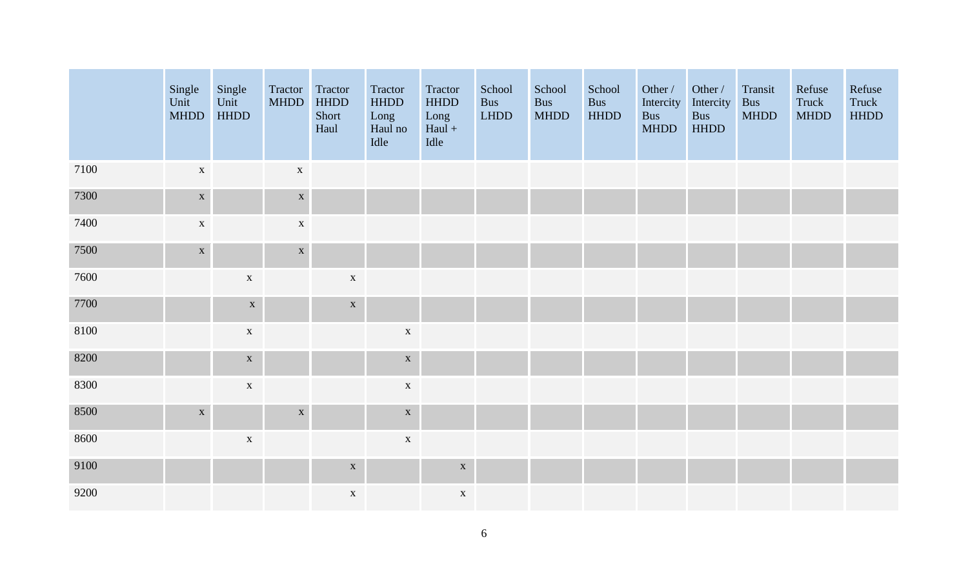|      | Single<br>Unit<br><b>MHDD</b> | Single<br>Unit<br><b>HHDD</b> | Tractor<br><b>MHDD</b> | Tractor<br><b>HHDD</b><br>Short<br>Haul | Tractor<br>HHDD<br>Long<br>Haul no<br>Idle | Tractor<br><b>HHDD</b><br>Long<br>$Haul +$<br>Idle | School<br><b>Bus</b><br><b>LHDD</b> | School<br><b>Bus</b><br><b>MHDD</b> | School<br><b>Bus</b><br><b>HHDD</b> | Other /<br>Intercity<br>Bus<br><b>MHDD</b> | Other /<br>Intercity<br>Bus<br><b>HHDD</b> | Transit<br><b>Bus</b><br><b>MHDD</b> | Refuse<br>Truck<br><b>MHDD</b> | Refuse<br>Truck<br><b>HHDD</b> |
|------|-------------------------------|-------------------------------|------------------------|-----------------------------------------|--------------------------------------------|----------------------------------------------------|-------------------------------------|-------------------------------------|-------------------------------------|--------------------------------------------|--------------------------------------------|--------------------------------------|--------------------------------|--------------------------------|
| 7100 | $\mathbf X$                   |                               | $\mathbf X$            |                                         |                                            |                                                    |                                     |                                     |                                     |                                            |                                            |                                      |                                |                                |
| 7300 | $\mathbf X$                   |                               | $\mathbf X$            |                                         |                                            |                                                    |                                     |                                     |                                     |                                            |                                            |                                      |                                |                                |
| 7400 | $\mathbf X$                   |                               | $\mathbf X$            |                                         |                                            |                                                    |                                     |                                     |                                     |                                            |                                            |                                      |                                |                                |
| 7500 | $\mathbf{X}$                  |                               | $\mathbf X$            |                                         |                                            |                                                    |                                     |                                     |                                     |                                            |                                            |                                      |                                |                                |
| 7600 |                               | $\mathbf X$                   |                        | $\mathbf X$                             |                                            |                                                    |                                     |                                     |                                     |                                            |                                            |                                      |                                |                                |
| 7700 |                               | $\mathbf X$                   |                        | $\mathbf X$                             |                                            |                                                    |                                     |                                     |                                     |                                            |                                            |                                      |                                |                                |
| 8100 |                               | $\mathbf X$                   |                        |                                         | $\mathbf X$                                |                                                    |                                     |                                     |                                     |                                            |                                            |                                      |                                |                                |
| 8200 |                               | $\mathbf X$                   |                        |                                         | $\mathbf X$                                |                                                    |                                     |                                     |                                     |                                            |                                            |                                      |                                |                                |
| 8300 |                               | $\mathbf X$                   |                        |                                         | $\mathbf X$                                |                                                    |                                     |                                     |                                     |                                            |                                            |                                      |                                |                                |
| 8500 | $\mathbf X$                   |                               | $\mathbf X$            |                                         | $\mathbf X$                                |                                                    |                                     |                                     |                                     |                                            |                                            |                                      |                                |                                |
| 8600 |                               | $\mathbf X$                   |                        |                                         | $\mathbf X$                                |                                                    |                                     |                                     |                                     |                                            |                                            |                                      |                                |                                |
| 9100 |                               |                               |                        | $\mathbf X$                             |                                            | $\mathbf X$                                        |                                     |                                     |                                     |                                            |                                            |                                      |                                |                                |
| 9200 |                               |                               |                        | $\mathbf X$                             |                                            | $\mathbf X$                                        |                                     |                                     |                                     |                                            |                                            |                                      |                                |                                |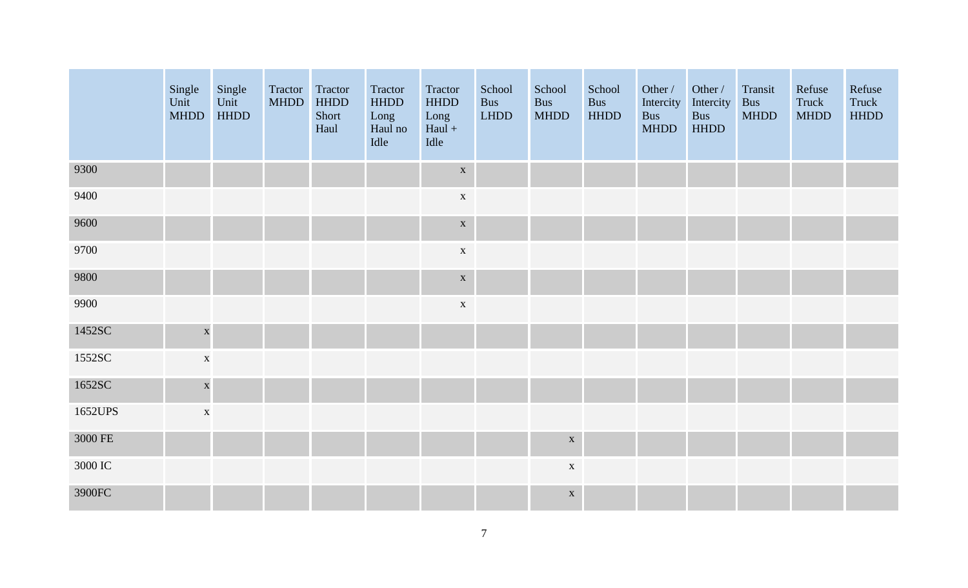|         | Single<br>Unit<br><b>MHDD</b> | Single<br>Unit<br><b>HHDD</b> | Tractor<br><b>MHDD</b> | Tractor<br><b>HHDD</b><br>Short<br>Haul | Tractor<br><b>HHDD</b><br>Long<br>Haul no<br>Idle | Tractor<br><b>HHDD</b><br>Long<br>$Haul +$<br>Idle | School<br><b>Bus</b><br>$L{\hbox{\small{HDD}}}$ | School<br><b>Bus</b><br><b>MHDD</b> | School<br><b>Bus</b><br><b>HHDD</b> | Other /<br>Intercity<br><b>Bus</b><br><b>MHDD</b> | Other /<br>Intercity<br><b>Bus</b><br><b>HHDD</b> | Transit<br><b>Bus</b><br><b>MHDD</b> | Refuse<br>Truck<br><b>MHDD</b> | Refuse<br>Truck<br><b>HHDD</b> |
|---------|-------------------------------|-------------------------------|------------------------|-----------------------------------------|---------------------------------------------------|----------------------------------------------------|-------------------------------------------------|-------------------------------------|-------------------------------------|---------------------------------------------------|---------------------------------------------------|--------------------------------------|--------------------------------|--------------------------------|
| 9300    |                               |                               |                        |                                         |                                                   | $\mathbf X$                                        |                                                 |                                     |                                     |                                                   |                                                   |                                      |                                |                                |
| 9400    |                               |                               |                        |                                         |                                                   | $\mathbf X$                                        |                                                 |                                     |                                     |                                                   |                                                   |                                      |                                |                                |
| 9600    |                               |                               |                        |                                         |                                                   | $\mathbf X$                                        |                                                 |                                     |                                     |                                                   |                                                   |                                      |                                |                                |
| 9700    |                               |                               |                        |                                         |                                                   | $\mathbf X$                                        |                                                 |                                     |                                     |                                                   |                                                   |                                      |                                |                                |
| 9800    |                               |                               |                        |                                         |                                                   | $\mathbf X$                                        |                                                 |                                     |                                     |                                                   |                                                   |                                      |                                |                                |
| 9900    |                               |                               |                        |                                         |                                                   | $\mathbf X$                                        |                                                 |                                     |                                     |                                                   |                                                   |                                      |                                |                                |
| 1452SC  | $\mathbf X$                   |                               |                        |                                         |                                                   |                                                    |                                                 |                                     |                                     |                                                   |                                                   |                                      |                                |                                |
| 1552SC  | $\mathbf X$                   |                               |                        |                                         |                                                   |                                                    |                                                 |                                     |                                     |                                                   |                                                   |                                      |                                |                                |
| 1652SC  | $\mathbf{x}$                  |                               |                        |                                         |                                                   |                                                    |                                                 |                                     |                                     |                                                   |                                                   |                                      |                                |                                |
| 1652UPS | $\mathbf X$                   |                               |                        |                                         |                                                   |                                                    |                                                 |                                     |                                     |                                                   |                                                   |                                      |                                |                                |
| 3000 FE |                               |                               |                        |                                         |                                                   |                                                    |                                                 | $\mathbf X$                         |                                     |                                                   |                                                   |                                      |                                |                                |
| 3000 IC |                               |                               |                        |                                         |                                                   |                                                    |                                                 | $\mathbf X$                         |                                     |                                                   |                                                   |                                      |                                |                                |
| 3900FC  |                               |                               |                        |                                         |                                                   |                                                    |                                                 | $\mathbf X$                         |                                     |                                                   |                                                   |                                      |                                |                                |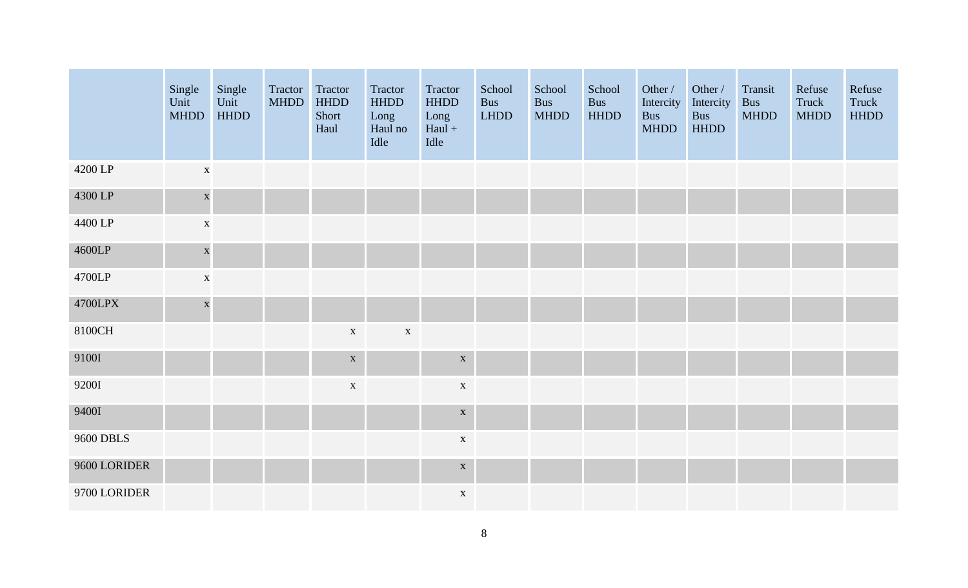|                  | Single<br>Unit<br><b>MHDD</b> | Single<br>Unit<br><b>HHDD</b> | Tractor<br><b>MHDD</b> | Tractor<br><b>HHDD</b><br>Short<br>Haul | Tractor<br><b>HHDD</b><br>Long<br>Haul no<br>Idle | Tractor<br><b>HHDD</b><br>Long<br>$Haul +$<br>Idle | School<br><b>Bus</b><br><b>LHDD</b> | School<br>Bus<br><b>MHDD</b> | School<br><b>Bus</b><br><b>HHDD</b> | Other /<br>Intercity<br><b>Bus</b><br><b>MHDD</b> | Other /<br>Intercity<br><b>Bus</b><br><b>HHDD</b> | Transit<br><b>Bus</b><br><b>MHDD</b> | Refuse<br>Truck<br><b>MHDD</b> | Refuse<br>Truck<br><b>HHDD</b> |
|------------------|-------------------------------|-------------------------------|------------------------|-----------------------------------------|---------------------------------------------------|----------------------------------------------------|-------------------------------------|------------------------------|-------------------------------------|---------------------------------------------------|---------------------------------------------------|--------------------------------------|--------------------------------|--------------------------------|
| 4200 LP          | $\mathbf X$                   |                               |                        |                                         |                                                   |                                                    |                                     |                              |                                     |                                                   |                                                   |                                      |                                |                                |
| 4300 LP          | $\mathbf{x}$                  |                               |                        |                                         |                                                   |                                                    |                                     |                              |                                     |                                                   |                                                   |                                      |                                |                                |
| 4400 LP          | $\mathbf X$                   |                               |                        |                                         |                                                   |                                                    |                                     |                              |                                     |                                                   |                                                   |                                      |                                |                                |
| 4600LP           | $\mathbf{\overline{X}}$       |                               |                        |                                         |                                                   |                                                    |                                     |                              |                                     |                                                   |                                                   |                                      |                                |                                |
| 4700LP           | $\mathbf X$                   |                               |                        |                                         |                                                   |                                                    |                                     |                              |                                     |                                                   |                                                   |                                      |                                |                                |
| 4700LPX          | $\mathbf{x}$                  |                               |                        |                                         |                                                   |                                                    |                                     |                              |                                     |                                                   |                                                   |                                      |                                |                                |
| 8100CH           |                               |                               |                        | $\mathbf X$                             | $\mathbf X$                                       |                                                    |                                     |                              |                                     |                                                   |                                                   |                                      |                                |                                |
| 9100I            |                               |                               |                        | $\mathbf X$                             |                                                   | $\mathbf X$                                        |                                     |                              |                                     |                                                   |                                                   |                                      |                                |                                |
| 9200I            |                               |                               |                        | $\mathbf X$                             |                                                   | $\mathbf X$                                        |                                     |                              |                                     |                                                   |                                                   |                                      |                                |                                |
| 9400I            |                               |                               |                        |                                         |                                                   | $\mathbf X$                                        |                                     |                              |                                     |                                                   |                                                   |                                      |                                |                                |
| <b>9600 DBLS</b> |                               |                               |                        |                                         |                                                   | $\mathbf X$                                        |                                     |                              |                                     |                                                   |                                                   |                                      |                                |                                |
| 9600 LORIDER     |                               |                               |                        |                                         |                                                   | $\mathbf X$                                        |                                     |                              |                                     |                                                   |                                                   |                                      |                                |                                |
| 9700 LORIDER     |                               |                               |                        |                                         |                                                   | $\mathbf X$                                        |                                     |                              |                                     |                                                   |                                                   |                                      |                                |                                |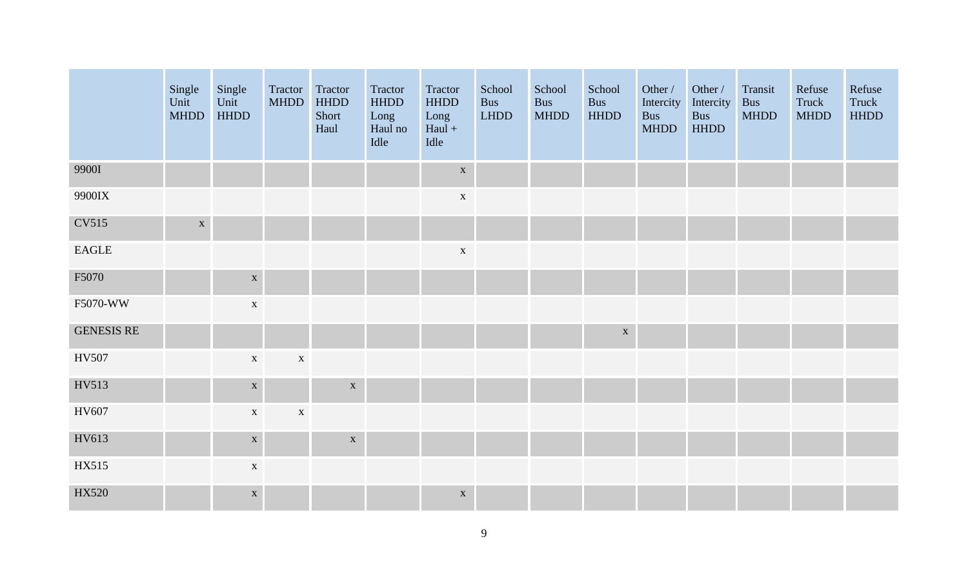|                   | Single<br>Unit<br><b>MHDD</b> | Single<br>Unit<br><b>HHDD</b> | Tractor<br><b>MHDD</b> | Tractor<br><b>HHDD</b><br>Short<br>Haul | Tractor<br><b>HHDD</b><br>Long<br>Haul no<br>Idle | Tractor<br><b>HHDD</b><br>Long<br>$Haul +$<br>Idle | School<br><b>Bus</b><br>LHDD | School<br><b>Bus</b><br><b>MHDD</b> | School<br><b>Bus</b><br><b>HHDD</b> | Other /<br>Intercity<br><b>Bus</b><br><b>MHDD</b> | Other /<br>Intercity<br><b>Bus</b><br><b>HHDD</b> | Transit<br><b>Bus</b><br><b>MHDD</b> | Refuse<br>Truck<br><b>MHDD</b> | Refuse<br>Truck<br><b>HHDD</b> |
|-------------------|-------------------------------|-------------------------------|------------------------|-----------------------------------------|---------------------------------------------------|----------------------------------------------------|------------------------------|-------------------------------------|-------------------------------------|---------------------------------------------------|---------------------------------------------------|--------------------------------------|--------------------------------|--------------------------------|
| 9900I             |                               |                               |                        |                                         |                                                   | $\mathbf X$                                        |                              |                                     |                                     |                                                   |                                                   |                                      |                                |                                |
| 9900IX            |                               |                               |                        |                                         |                                                   | $\mathbf X$                                        |                              |                                     |                                     |                                                   |                                                   |                                      |                                |                                |
| <b>CV515</b>      | $\mathbf X$                   |                               |                        |                                         |                                                   |                                                    |                              |                                     |                                     |                                                   |                                                   |                                      |                                |                                |
| EAGLE             |                               |                               |                        |                                         |                                                   | $\mathbf X$                                        |                              |                                     |                                     |                                                   |                                                   |                                      |                                |                                |
| F5070             |                               | $\mathbf X$                   |                        |                                         |                                                   |                                                    |                              |                                     |                                     |                                                   |                                                   |                                      |                                |                                |
| F5070-WW          |                               | $\mathbf X$                   |                        |                                         |                                                   |                                                    |                              |                                     |                                     |                                                   |                                                   |                                      |                                |                                |
| <b>GENESIS RE</b> |                               |                               |                        |                                         |                                                   |                                                    |                              |                                     | $\mathbf X$                         |                                                   |                                                   |                                      |                                |                                |
| HV507             |                               | $\mathbf X$                   | $\mathbf X$            |                                         |                                                   |                                                    |                              |                                     |                                     |                                                   |                                                   |                                      |                                |                                |
| HV513             |                               | $\mathbf X$                   |                        | $\mathbf X$                             |                                                   |                                                    |                              |                                     |                                     |                                                   |                                                   |                                      |                                |                                |
| HV607             |                               | $\mathbf X$                   | $\mathbf X$            |                                         |                                                   |                                                    |                              |                                     |                                     |                                                   |                                                   |                                      |                                |                                |
| HV613             |                               | $\mathbf X$                   |                        | $\mathbf X$                             |                                                   |                                                    |                              |                                     |                                     |                                                   |                                                   |                                      |                                |                                |
| HX515             |                               | $\mathbf X$                   |                        |                                         |                                                   |                                                    |                              |                                     |                                     |                                                   |                                                   |                                      |                                |                                |
| HX520             |                               | $\mathbf X$                   |                        |                                         |                                                   | $\mathbf X$                                        |                              |                                     |                                     |                                                   |                                                   |                                      |                                |                                |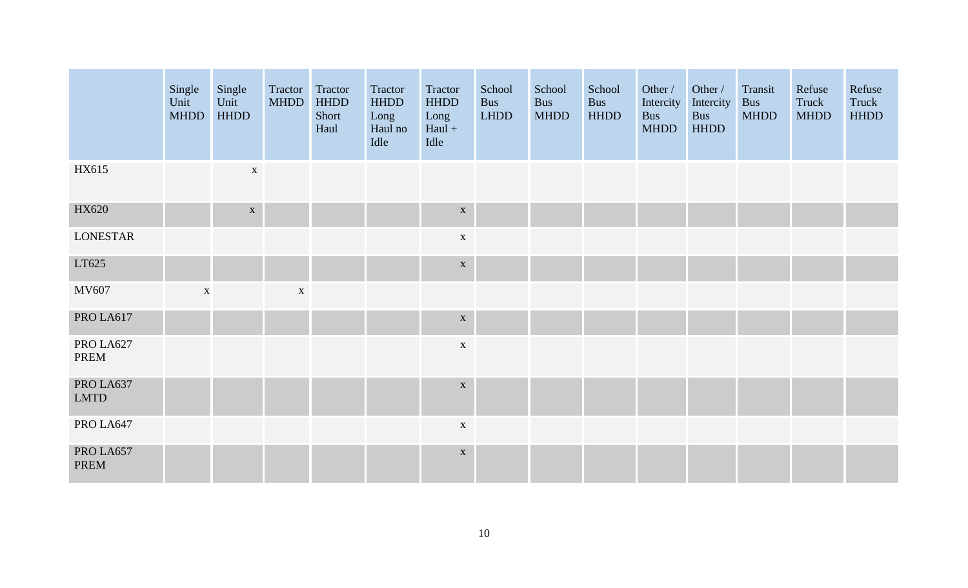|                          | Single<br>Unit<br><b>MHDD</b> | Single<br>Unit<br><b>HHDD</b> | Tractor Tractor<br><b>MHDD</b> | <b>HHDD</b><br>Short<br>Haul | Tractor<br><b>HHDD</b><br>Long<br>Haul no<br>Idle | Tractor<br><b>HHDD</b><br>Long<br>$Haul +$<br>Idle | School<br><b>Bus</b><br><b>LHDD</b> | School<br><b>Bus</b><br><b>MHDD</b> | School<br><b>Bus</b><br><b>HHDD</b> | Other /<br>Intercity<br><b>Bus</b><br><b>MHDD</b> | Other /<br>Intercity<br>Bus<br><b>HHDD</b> | Transit<br><b>Bus</b><br><b>MHDD</b> | Refuse<br>Truck<br><b>MHDD</b> | Refuse<br>Truck<br><b>HHDD</b> |
|--------------------------|-------------------------------|-------------------------------|--------------------------------|------------------------------|---------------------------------------------------|----------------------------------------------------|-------------------------------------|-------------------------------------|-------------------------------------|---------------------------------------------------|--------------------------------------------|--------------------------------------|--------------------------------|--------------------------------|
| HX615                    |                               | $\mathbf X$                   |                                |                              |                                                   |                                                    |                                     |                                     |                                     |                                                   |                                            |                                      |                                |                                |
| HX620                    |                               | $\mathbf X$                   |                                |                              |                                                   | $\mathbf X$                                        |                                     |                                     |                                     |                                                   |                                            |                                      |                                |                                |
| <b>LONESTAR</b>          |                               |                               |                                |                              |                                                   | $\mathbf X$                                        |                                     |                                     |                                     |                                                   |                                            |                                      |                                |                                |
| LT625                    |                               |                               |                                |                              |                                                   | $\mathbf X$                                        |                                     |                                     |                                     |                                                   |                                            |                                      |                                |                                |
| MV607                    | $\mathbf X$                   |                               | $\mathbf X$                    |                              |                                                   |                                                    |                                     |                                     |                                     |                                                   |                                            |                                      |                                |                                |
| PRO LA617                |                               |                               |                                |                              |                                                   | $\mathbf X$                                        |                                     |                                     |                                     |                                                   |                                            |                                      |                                |                                |
| PRO LA627<br>PREM        |                               |                               |                                |                              |                                                   | $\mathbf X$                                        |                                     |                                     |                                     |                                                   |                                            |                                      |                                |                                |
| PRO LA637<br><b>LMTD</b> |                               |                               |                                |                              |                                                   | $\mathbf X$                                        |                                     |                                     |                                     |                                                   |                                            |                                      |                                |                                |
| PRO LA647                |                               |                               |                                |                              |                                                   | $\mathbf X$                                        |                                     |                                     |                                     |                                                   |                                            |                                      |                                |                                |
| PRO LA657<br>PREM        |                               |                               |                                |                              |                                                   | $\mathbf X$                                        |                                     |                                     |                                     |                                                   |                                            |                                      |                                |                                |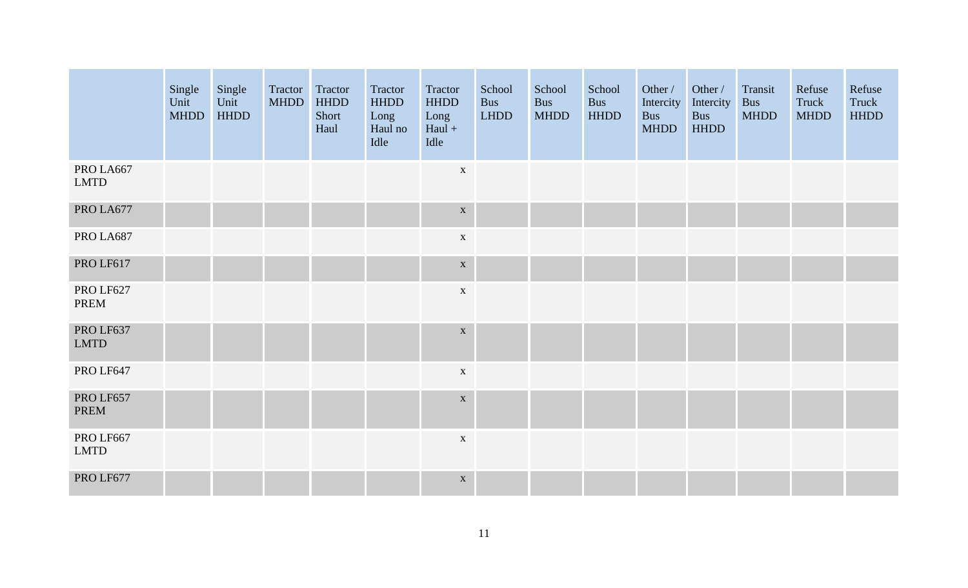|                          | Single<br>Unit<br><b>MHDD</b> | Single<br>Unit<br><b>HHDD</b> | Tractor Tractor<br><b>MHDD</b> | <b>HHDD</b><br>Short<br>Haul | Tractor<br><b>HHDD</b><br>Long<br>Haul no<br>Idle | Tractor<br><b>HHDD</b><br>Long<br>$Haul +$<br>Idle | School<br><b>Bus</b><br><b>LHDD</b> | School<br><b>Bus</b><br><b>MHDD</b> | School<br>Bus<br><b>HHDD</b> | Other /<br>Intercity<br><b>Bus</b><br><b>MHDD</b> | Other /<br>Intercity<br><b>Bus</b><br><b>HHDD</b> | Transit<br><b>Bus</b><br><b>MHDD</b> | Refuse<br>Truck<br><b>MHDD</b> | Refuse<br>Truck<br><b>HHDD</b> |
|--------------------------|-------------------------------|-------------------------------|--------------------------------|------------------------------|---------------------------------------------------|----------------------------------------------------|-------------------------------------|-------------------------------------|------------------------------|---------------------------------------------------|---------------------------------------------------|--------------------------------------|--------------------------------|--------------------------------|
| PRO LA667<br><b>LMTD</b> |                               |                               |                                |                              |                                                   | $\mathbf X$                                        |                                     |                                     |                              |                                                   |                                                   |                                      |                                |                                |
| PRO LA677                |                               |                               |                                |                              |                                                   | $\mathbf X$                                        |                                     |                                     |                              |                                                   |                                                   |                                      |                                |                                |
| PRO LA687                |                               |                               |                                |                              |                                                   | $\mathbf X$                                        |                                     |                                     |                              |                                                   |                                                   |                                      |                                |                                |
| PRO LF617                |                               |                               |                                |                              |                                                   | $\mathbf X$                                        |                                     |                                     |                              |                                                   |                                                   |                                      |                                |                                |
| PRO LF627<br>PREM        |                               |                               |                                |                              |                                                   | $\mathbf X$                                        |                                     |                                     |                              |                                                   |                                                   |                                      |                                |                                |
| PRO LF637<br><b>LMTD</b> |                               |                               |                                |                              |                                                   | $\mathbf X$                                        |                                     |                                     |                              |                                                   |                                                   |                                      |                                |                                |
| PRO LF647                |                               |                               |                                |                              |                                                   | $\mathbf X$                                        |                                     |                                     |                              |                                                   |                                                   |                                      |                                |                                |
| PRO LF657<br><b>PREM</b> |                               |                               |                                |                              |                                                   | $\mathbf X$                                        |                                     |                                     |                              |                                                   |                                                   |                                      |                                |                                |
| PRO LF667<br><b>LMTD</b> |                               |                               |                                |                              |                                                   | $\mathbf X$                                        |                                     |                                     |                              |                                                   |                                                   |                                      |                                |                                |
| PRO LF677                |                               |                               |                                |                              |                                                   | $\mathbf X$                                        |                                     |                                     |                              |                                                   |                                                   |                                      |                                |                                |